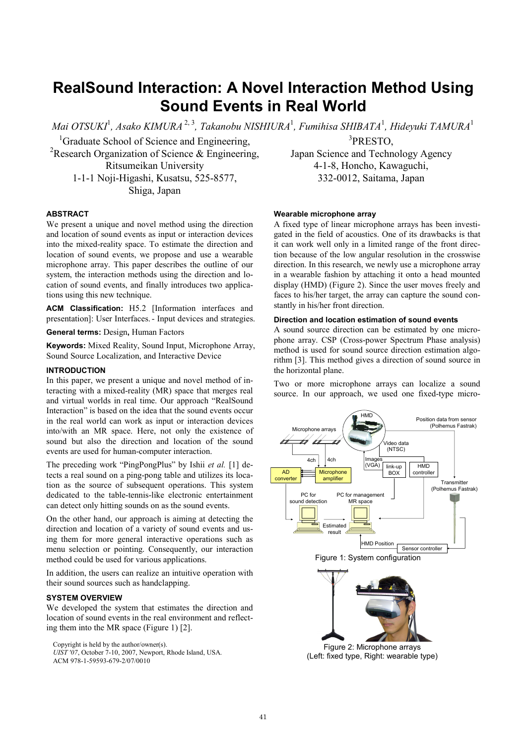# RealSound Interaction: A Novel Interaction Method Using Sound Events in Real World

Mai OTSUKI $^{\rm l}$ , Asako KIMURA $^{\rm 2,3}$ , Takanobu NISHIURA $^{\rm l}$ , Fumihisa SHIBATA $^{\rm l}$ , Hideyuki TAMURA $^{\rm l}$ 

<sup>1</sup>Graduate School of Science and Engineering, <sup>2</sup>Research Organization of Science  $\&$  Engineering. Ritsumeikan University 1-1-1 Noji-Higashi, Kusatsu, 525-8577, Shiga, Japan

## ABSTRACT

We present a unique and novel method using the direction and location of sound events as input or interaction devices into the mixed-reality space. To estimate the direction and location of sound events, we propose and use a wearable microphone array. This paper describes the outline of our system, the interaction methods using the direction and location of sound events, and finally introduces two applications using this new technique.

ACM Classification: H5.2 [Information interfaces and presentation]: User Interfaces.- Input devices and strategies.

General terms: Design, Human Factors

Keywords: Mixed Reality, Sound Input, Microphone Array, Sound Source Localization, and Interactive Device

## INTRODUCTION

In this paper, we present a unique and novel method of interacting with a mixed-reality (MR) space that merges real and virtual worlds in real time. Our approach "RealSound Interaction" is based on the idea that the sound events occur in the real world can work as input or interaction devices into/with an MR space. Here, not only the existence of sound but also the direction and location of the sound events are used for human-computer interaction.

The preceding work "PingPongPlus" by Ishii et al. [1] detects a real sound on a ping-pong table and utilizes its location as the source of subsequent operations. This system dedicated to the table-tennis-like electronic entertainment can detect only hitting sounds on as the sound events.

On the other hand, our approach is aiming at detecting the direction and location of a variety of sound events and using them for more general interactive operations such as menu selection or pointing. Consequently, our interaction method could be used for various applications.

In addition, the users can realize an intuitive operation with their sound sources such as handclapping.

## SYSTEM OVERVIEW

We developed the system that estimates the direction and location of sound events in the real environment and reflecting them into the MR space (Figure 1) [2].

Copyright is held by the author/owner(s).

Wearable microphone array

A fixed type of linear microphone arrays has been investigated in the field of acoustics. One of its drawbacks is that it can work well only in a limited range of the front direction because of the low angular resolution in the crosswise direction. In this research, we newly use a microphone array in a wearable fashion by attaching it onto a head mounted display (HMD) (Figure 2). Since the user moves freely and faces to his/her target, the array can capture the sound constantly in his/her front direction.

3 PRESTO, Japan Science and Technology Agency 4-1-8, Honcho, Kawaguchi, 332-0012, Saitama, Japan

#### Direction and location estimation of sound events

A sound source direction can be estimated by one microphone array. CSP (Cross-power Spectrum Phase analysis) method is used for sound source direction estimation algorithm [3]. This method gives a direction of sound source in the horizontal plane.

Two or more microphone arrays can localize a sound source. In our approach, we used one fixed-type micro-



UIST '07, October 7-10, 2007, Newport, Rhode Island, USA.

ACM 978-1-59593-679-2/07/0010